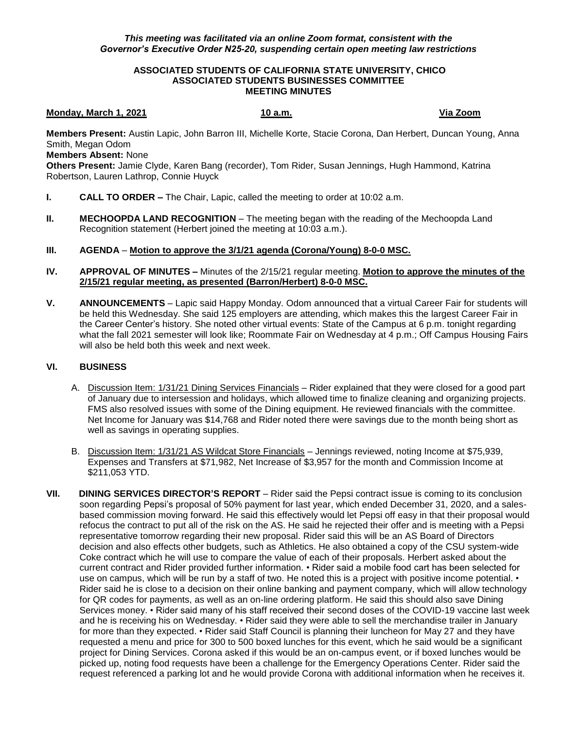## **ASSOCIATED STUDENTS OF CALIFORNIA STATE UNIVERSITY, CHICO ASSOCIATED STUDENTS BUSINESSES COMMITTEE MEETING MINUTES**

## **Monday, March 1, 2021** 10 a.m. 10 a.m. Via Zoom

**Members Present:** Austin Lapic, John Barron III, Michelle Korte, Stacie Corona, Dan Herbert, Duncan Young, Anna Smith, Megan Odom

**Members Absent:** None

**Others Present:** Jamie Clyde, Karen Bang (recorder), Tom Rider, Susan Jennings, Hugh Hammond, Katrina Robertson, Lauren Lathrop, Connie Huyck

- **I. CALL TO ORDER –** The Chair, Lapic, called the meeting to order at 10:02 a.m.
- **II. MECHOOPDA LAND RECOGNITION** The meeting began with the reading of the Mechoopda Land Recognition statement (Herbert joined the meeting at 10:03 a.m.).

## **III. AGENDA** – **Motion to approve the 3/1/21 agenda (Corona/Young) 8-0-0 MSC.**

- **IV. APPROVAL OF MINUTES –** Minutes of the 2/15/21 regular meeting. **Motion to approve the minutes of the 2/15/21 regular meeting, as presented (Barron/Herbert) 8-0-0 MSC.**
- **V. ANNOUNCEMENTS** Lapic said Happy Monday. Odom announced that a virtual Career Fair for students will be held this Wednesday. She said 125 employers are attending, which makes this the largest Career Fair in the Career Center's history. She noted other virtual events: State of the Campus at 6 p.m. tonight regarding what the fall 2021 semester will look like; Roommate Fair on Wednesday at 4 p.m.; Off Campus Housing Fairs will also be held both this week and next week.

## **VI. BUSINESS**

- A. Discussion Item: 1/31/21 Dining Services Financials Rider explained that they were closed for a good part of January due to intersession and holidays, which allowed time to finalize cleaning and organizing projects. FMS also resolved issues with some of the Dining equipment. He reviewed financials with the committee. Net Income for January was \$14,768 and Rider noted there were savings due to the month being short as well as savings in operating supplies.
- B. Discussion Item: 1/31/21 AS Wildcat Store Financials Jennings reviewed, noting Income at \$75,939, Expenses and Transfers at \$71,982, Net Increase of \$3,957 for the month and Commission Income at \$211,053 YTD.
- **VII. DINING SERVICES DIRECTOR'S REPORT** Rider said the Pepsi contract issue is coming to its conclusion soon regarding Pepsi's proposal of 50% payment for last year, which ended December 31, 2020, and a salesbased commission moving forward. He said this effectively would let Pepsi off easy in that their proposal would refocus the contract to put all of the risk on the AS. He said he rejected their offer and is meeting with a Pepsi representative tomorrow regarding their new proposal. Rider said this will be an AS Board of Directors decision and also effects other budgets, such as Athletics. He also obtained a copy of the CSU system-wide Coke contract which he will use to compare the value of each of their proposals. Herbert asked about the current contract and Rider provided further information. • Rider said a mobile food cart has been selected for use on campus, which will be run by a staff of two. He noted this is a project with positive income potential. • Rider said he is close to a decision on their online banking and payment company, which will allow technology for QR codes for payments, as well as an on-line ordering platform. He said this should also save Dining Services money. • Rider said many of his staff received their second doses of the COVID-19 vaccine last week and he is receiving his on Wednesday. • Rider said they were able to sell the merchandise trailer in January for more than they expected. • Rider said Staff Council is planning their luncheon for May 27 and they have requested a menu and price for 300 to 500 boxed lunches for this event, which he said would be a significant project for Dining Services. Corona asked if this would be an on-campus event, or if boxed lunches would be picked up, noting food requests have been a challenge for the Emergency Operations Center. Rider said the request referenced a parking lot and he would provide Corona with additional information when he receives it.